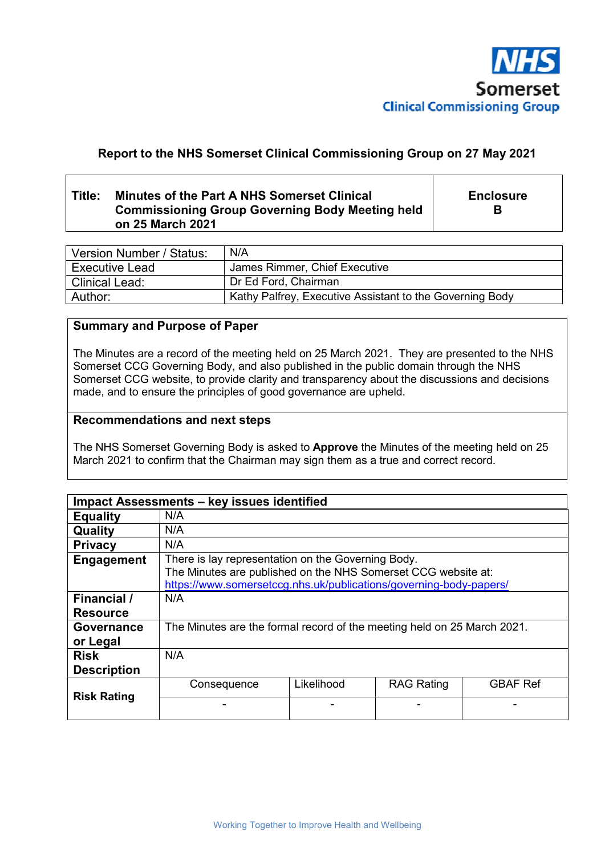

# **Report to the NHS Somerset Clinical Commissioning Group on 27 May 2021**

# **Title: Minutes of the Part A NHS Somerset Clinical Commissioning Group Governing Body Meeting held on 25 March 2021**

**Enclosure B** 

| Version Number / Status: | N/A                                                      |
|--------------------------|----------------------------------------------------------|
| l Executive Lead         | James Rimmer, Chief Executive                            |
| Clinical Lead:           | Dr Ed Ford, Chairman                                     |
| Author:                  | Kathy Palfrey, Executive Assistant to the Governing Body |

# **Summary and Purpose of Paper**

The Minutes are a record of the meeting held on 25 March 2021. They are presented to the NHS Somerset CCG Governing Body, and also published in the public domain through the NHS Somerset CCG website, to provide clarity and transparency about the discussions and decisions made, and to ensure the principles of good governance are upheld.

### **Recommendations and next steps**

The NHS Somerset Governing Body is asked to **Approve** the Minutes of the meeting held on 25 March 2021 to confirm that the Chairman may sign them as a true and correct record.

| Impact Assessments - key issues identified |                                                                                                                                                                                           |            |                   |                 |  |  |
|--------------------------------------------|-------------------------------------------------------------------------------------------------------------------------------------------------------------------------------------------|------------|-------------------|-----------------|--|--|
| <b>Equality</b>                            | N/A                                                                                                                                                                                       |            |                   |                 |  |  |
| Quality                                    | N/A                                                                                                                                                                                       |            |                   |                 |  |  |
| <b>Privacy</b>                             | N/A                                                                                                                                                                                       |            |                   |                 |  |  |
| <b>Engagement</b>                          | There is lay representation on the Governing Body.<br>The Minutes are published on the NHS Somerset CCG website at:<br>https://www.somersetccg.nhs.uk/publications/governing-body-papers/ |            |                   |                 |  |  |
| Financial /<br><b>Resource</b>             | N/A                                                                                                                                                                                       |            |                   |                 |  |  |
| <b>Governance</b><br>or Legal              | The Minutes are the formal record of the meeting held on 25 March 2021.                                                                                                                   |            |                   |                 |  |  |
| <b>Risk</b><br><b>Description</b>          | N/A                                                                                                                                                                                       |            |                   |                 |  |  |
| <b>Risk Rating</b>                         | Consequence                                                                                                                                                                               | Likelihood | <b>RAG Rating</b> | <b>GBAF Ref</b> |  |  |
|                                            |                                                                                                                                                                                           |            |                   |                 |  |  |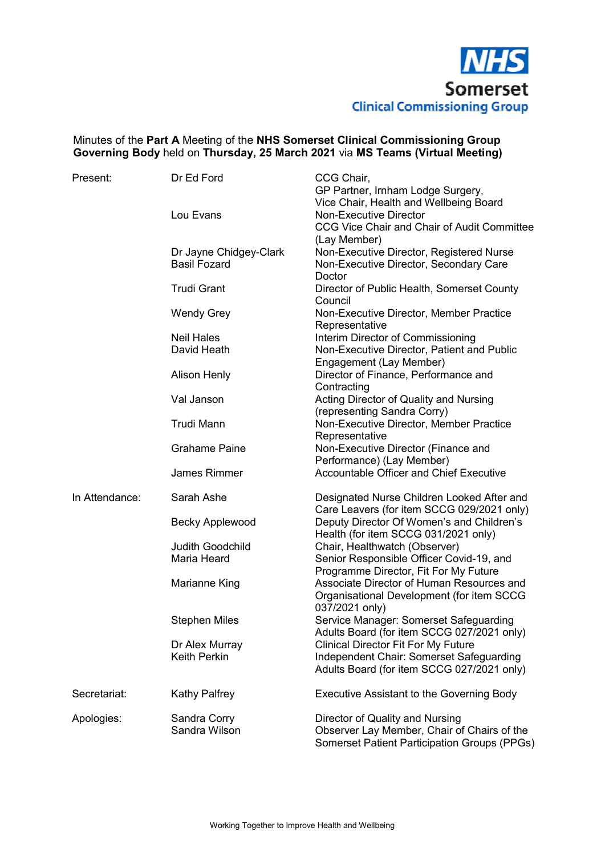

# Minutes of the **Part A** Meeting of the **NHS Somerset Clinical Commissioning Group Governing Body** held on **Thursday, 25 March 2021** via **MS Teams (Virtual Meeting)**

| Present:       | Dr Ed Ford                             | CCG Chair,<br>GP Partner, Irnham Lodge Surgery,                           |
|----------------|----------------------------------------|---------------------------------------------------------------------------|
|                |                                        | Vice Chair, Health and Wellbeing Board                                    |
|                | Lou Evans                              | <b>Non-Executive Director</b>                                             |
|                |                                        | CCG Vice Chair and Chair of Audit Committee<br>(Lay Member)               |
|                | Dr Jayne Chidgey-Clark                 | Non-Executive Director, Registered Nurse                                  |
|                | <b>Basil Fozard</b>                    | Non-Executive Director, Secondary Care                                    |
|                |                                        | Doctor                                                                    |
|                | <b>Trudi Grant</b>                     | Director of Public Health, Somerset County                                |
|                |                                        | Council                                                                   |
|                | <b>Wendy Grey</b>                      | Non-Executive Director, Member Practice<br>Representative                 |
|                | <b>Neil Hales</b>                      | Interim Director of Commissioning                                         |
|                | David Heath                            | Non-Executive Director, Patient and Public                                |
|                |                                        | Engagement (Lay Member)                                                   |
|                | <b>Alison Henly</b>                    | Director of Finance, Performance and                                      |
|                |                                        | Contracting                                                               |
|                | Val Janson                             | Acting Director of Quality and Nursing                                    |
|                |                                        | (representing Sandra Corry)                                               |
|                | <b>Trudi Mann</b>                      | Non-Executive Director, Member Practice                                   |
|                |                                        | Representative                                                            |
|                | <b>Grahame Paine</b>                   | Non-Executive Director (Finance and                                       |
|                |                                        | Performance) (Lay Member)                                                 |
|                | James Rimmer                           | <b>Accountable Officer and Chief Executive</b>                            |
| In Attendance: | Sarah Ashe                             | Designated Nurse Children Looked After and                                |
|                |                                        | Care Leavers (for item SCCG 029/2021 only)                                |
|                | <b>Becky Applewood</b>                 | Deputy Director Of Women's and Children's                                 |
|                |                                        | Health (for item SCCG 031/2021 only)                                      |
|                | <b>Judith Goodchild</b><br>Maria Heard | Chair, Healthwatch (Observer)<br>Senior Responsible Officer Covid-19, and |
|                |                                        | Programme Director, Fit For My Future                                     |
|                | Marianne King                          | Associate Director of Human Resources and                                 |
|                |                                        | Organisational Development (for item SCCG                                 |
|                |                                        | 037/2021 only)                                                            |
|                | <b>Stephen Miles</b>                   | Service Manager: Somerset Safeguarding                                    |
|                |                                        | Adults Board (for item SCCG 027/2021 only)                                |
|                | Dr Alex Murray                         | <b>Clinical Director Fit For My Future</b>                                |
|                | <b>Keith Perkin</b>                    | Independent Chair: Somerset Safeguarding                                  |
|                |                                        | Adults Board (for item SCCG 027/2021 only)                                |
| Secretariat:   | <b>Kathy Palfrey</b>                   | <b>Executive Assistant to the Governing Body</b>                          |
| Apologies:     | Sandra Corry                           | Director of Quality and Nursing                                           |
|                | Sandra Wilson                          | Observer Lay Member, Chair of Chairs of the                               |
|                |                                        | <b>Somerset Patient Participation Groups (PPGs)</b>                       |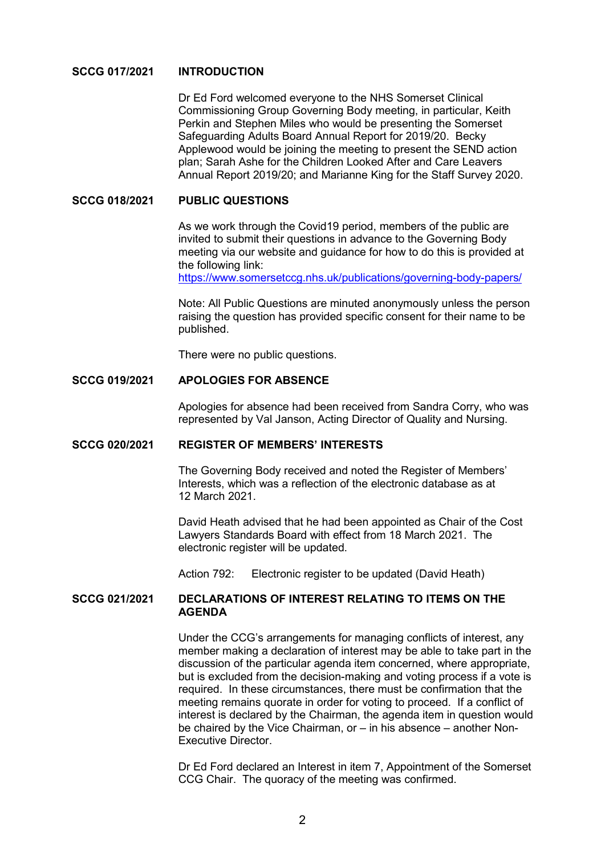### **SCCG 017/2021 INTRODUCTION**

 Dr Ed Ford welcomed everyone to the NHS Somerset Clinical Commissioning Group Governing Body meeting, in particular, Keith Perkin and Stephen Miles who would be presenting the Somerset Safeguarding Adults Board Annual Report for 2019/20. Becky Applewood would be joining the meeting to present the SEND action plan; Sarah Ashe for the Children Looked After and Care Leavers Annual Report 2019/20; and Marianne King for the Staff Survey 2020.

#### **SCCG 018/2021 PUBLIC QUESTIONS**

 As we work through the Covid19 period, members of the public are invited to submit their questions in advance to the Governing Body meeting via our website and guidance for how to do this is provided at the following link:

https://www.somersetccg.nhs.uk/publications/governing-body-papers/

 Note: All Public Questions are minuted anonymously unless the person raising the question has provided specific consent for their name to be published.

There were no public questions.

#### **SCCG 019/2021 APOLOGIES FOR ABSENCE**

Apologies for absence had been received from Sandra Corry, who was represented by Val Janson, Acting Director of Quality and Nursing.

#### **SCCG 020/2021 REGISTER OF MEMBERS' INTERESTS**

 The Governing Body received and noted the Register of Members' Interests, which was a reflection of the electronic database as at 12 March 2021.

David Heath advised that he had been appointed as Chair of the Cost Lawyers Standards Board with effect from 18 March 2021. The electronic register will be updated.

Action 792: Electronic register to be updated (David Heath)

### **SCCG 021/2021 DECLARATIONS OF INTEREST RELATING TO ITEMS ON THE AGENDA**

 Under the CCG's arrangements for managing conflicts of interest, any member making a declaration of interest may be able to take part in the discussion of the particular agenda item concerned, where appropriate, but is excluded from the decision-making and voting process if a vote is required. In these circumstances, there must be confirmation that the meeting remains quorate in order for voting to proceed. If a conflict of interest is declared by the Chairman, the agenda item in question would be chaired by the Vice Chairman, or – in his absence – another Non-Executive Director.

 Dr Ed Ford declared an Interest in item 7, Appointment of the Somerset CCG Chair. The quoracy of the meeting was confirmed.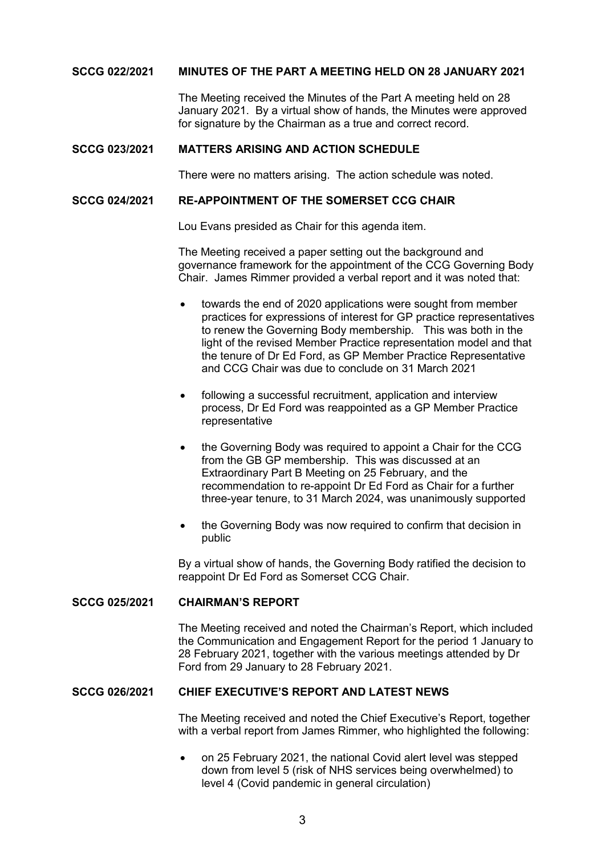### **SCCG 022/2021 MINUTES OF THE PART A MEETING HELD ON 28 JANUARY 2021**

 The Meeting received the Minutes of the Part A meeting held on 28 January 2021. By a virtual show of hands, the Minutes were approved for signature by the Chairman as a true and correct record.

#### **SCCG 023/2021 MATTERS ARISING AND ACTION SCHEDULE**

There were no matters arising. The action schedule was noted.

#### **SCCG 024/2021 RE-APPOINTMENT OF THE SOMERSET CCG CHAIR**

Lou Evans presided as Chair for this agenda item.

 The Meeting received a paper setting out the background and governance framework for the appointment of the CCG Governing Body Chair. James Rimmer provided a verbal report and it was noted that:

- towards the end of 2020 applications were sought from member practices for expressions of interest for GP practice representatives to renew the Governing Body membership. This was both in the light of the revised Member Practice representation model and that the tenure of Dr Ed Ford, as GP Member Practice Representative and CCG Chair was due to conclude on 31 March 2021
- following a successful recruitment, application and interview process, Dr Ed Ford was reappointed as a GP Member Practice representative
- the Governing Body was required to appoint a Chair for the CCG from the GB GP membership. This was discussed at an Extraordinary Part B Meeting on 25 February, and the recommendation to re-appoint Dr Ed Ford as Chair for a further three-year tenure, to 31 March 2024, was unanimously supported
- the Governing Body was now required to confirm that decision in public

 By a virtual show of hands, the Governing Body ratified the decision to reappoint Dr Ed Ford as Somerset CCG Chair.

#### **SCCG 025/2021 CHAIRMAN'S REPORT**

 The Meeting received and noted the Chairman's Report, which included the Communication and Engagement Report for the period 1 January to 28 February 2021, together with the various meetings attended by Dr Ford from 29 January to 28 February 2021.

#### **SCCG 026/2021 CHIEF EXECUTIVE'S REPORT AND LATEST NEWS**

 The Meeting received and noted the Chief Executive's Report, together with a verbal report from James Rimmer, who highlighted the following:

 on 25 February 2021, the national Covid alert level was stepped down from level 5 (risk of NHS services being overwhelmed) to level 4 (Covid pandemic in general circulation)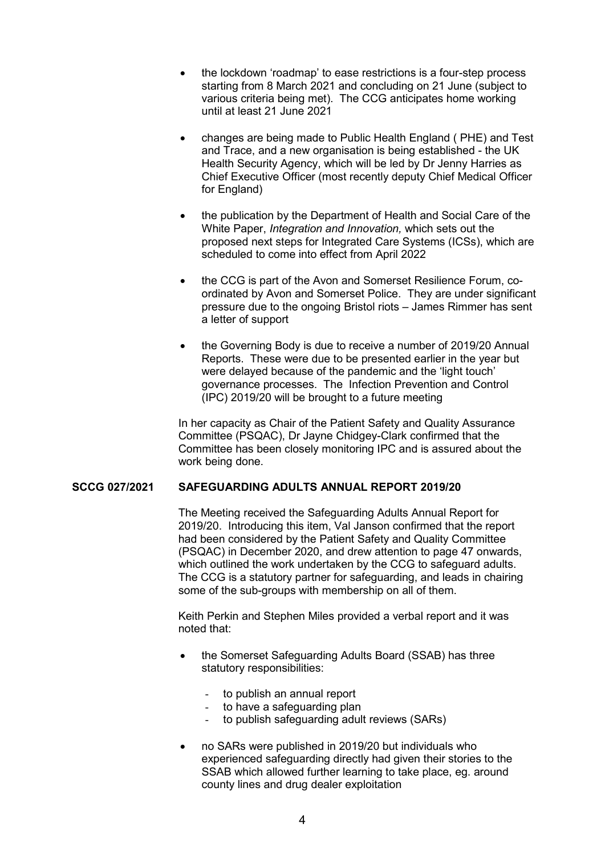- the lockdown 'roadmap' to ease restrictions is a four-step process starting from 8 March 2021 and concluding on 21 June (subject to various criteria being met). The CCG anticipates home working until at least 21 June 2021
- changes are being made to Public Health England ( PHE) and Test and Trace, and a new organisation is being established - the UK Health Security Agency, which will be led by Dr Jenny Harries as Chief Executive Officer (most recently deputy Chief Medical Officer for England)
- the publication by the Department of Health and Social Care of the White Paper, *Integration and Innovation,* which sets out the proposed next steps for Integrated Care Systems (ICSs), which are scheduled to come into effect from April 2022
- the CCG is part of the Avon and Somerset Resilience Forum, coordinated by Avon and Somerset Police. They are under significant pressure due to the ongoing Bristol riots – James Rimmer has sent a letter of support
- the Governing Body is due to receive a number of 2019/20 Annual Reports. These were due to be presented earlier in the year but were delayed because of the pandemic and the 'light touch' governance processes. The Infection Prevention and Control (IPC) 2019/20 will be brought to a future meeting

 In her capacity as Chair of the Patient Safety and Quality Assurance Committee (PSQAC), Dr Jayne Chidgey-Clark confirmed that the Committee has been closely monitoring IPC and is assured about the work being done.

### **SCCG 027/2021 SAFEGUARDING ADULTS ANNUAL REPORT 2019/20**

 The Meeting received the Safeguarding Adults Annual Report for 2019/20. Introducing this item, Val Janson confirmed that the report had been considered by the Patient Safety and Quality Committee (PSQAC) in December 2020, and drew attention to page 47 onwards, which outlined the work undertaken by the CCG to safeguard adults. The CCG is a statutory partner for safeguarding, and leads in chairing some of the sub-groups with membership on all of them.

 Keith Perkin and Stephen Miles provided a verbal report and it was noted that:

- the Somerset Safeguarding Adults Board (SSAB) has three statutory responsibilities:
	- to publish an annual report
	- to have a safeguarding plan
	- to publish safeguarding adult reviews (SARs)
- no SARs were published in 2019/20 but individuals who experienced safeguarding directly had given their stories to the SSAB which allowed further learning to take place, eg. around county lines and drug dealer exploitation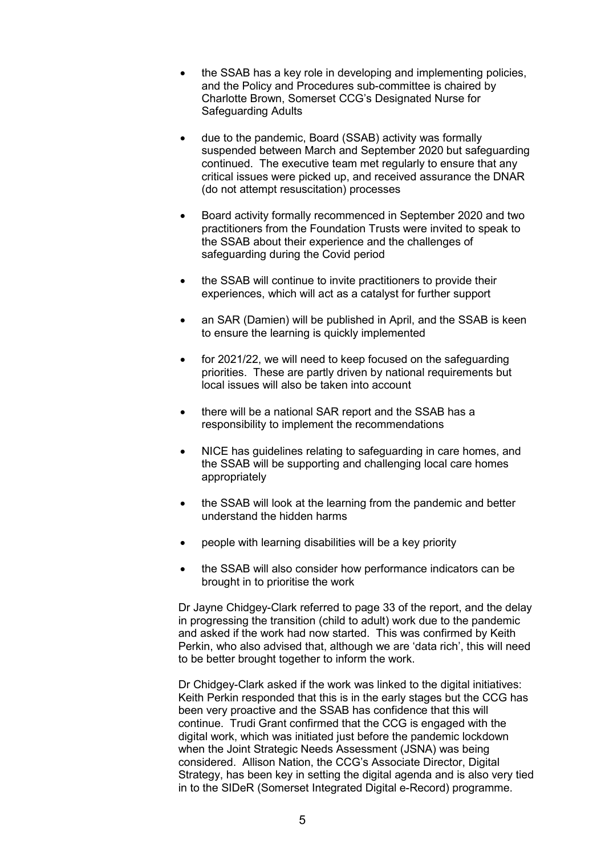- the SSAB has a key role in developing and implementing policies, and the Policy and Procedures sub-committee is chaired by Charlotte Brown, Somerset CCG's Designated Nurse for Safeguarding Adults
- due to the pandemic, Board (SSAB) activity was formally suspended between March and September 2020 but safeguarding continued. The executive team met regularly to ensure that any critical issues were picked up, and received assurance the DNAR (do not attempt resuscitation) processes
- Board activity formally recommenced in September 2020 and two practitioners from the Foundation Trusts were invited to speak to the SSAB about their experience and the challenges of safeguarding during the Covid period
- the SSAB will continue to invite practitioners to provide their experiences, which will act as a catalyst for further support
- an SAR (Damien) will be published in April, and the SSAB is keen to ensure the learning is quickly implemented
- for 2021/22, we will need to keep focused on the safeguarding priorities. These are partly driven by national requirements but local issues will also be taken into account
- there will be a national SAR report and the SSAB has a responsibility to implement the recommendations
- NICE has guidelines relating to safeguarding in care homes, and the SSAB will be supporting and challenging local care homes appropriately
- the SSAB will look at the learning from the pandemic and better understand the hidden harms
- people with learning disabilities will be a key priority
- the SSAB will also consider how performance indicators can be brought in to prioritise the work

 Dr Jayne Chidgey-Clark referred to page 33 of the report, and the delay in progressing the transition (child to adult) work due to the pandemic and asked if the work had now started. This was confirmed by Keith Perkin, who also advised that, although we are 'data rich', this will need to be better brought together to inform the work.

 Dr Chidgey-Clark asked if the work was linked to the digital initiatives: Keith Perkin responded that this is in the early stages but the CCG has been very proactive and the SSAB has confidence that this will continue. Trudi Grant confirmed that the CCG is engaged with the digital work, which was initiated just before the pandemic lockdown when the Joint Strategic Needs Assessment (JSNA) was being considered. Allison Nation, the CCG's Associate Director, Digital Strategy, has been key in setting the digital agenda and is also very tied in to the SIDeR (Somerset Integrated Digital e-Record) programme.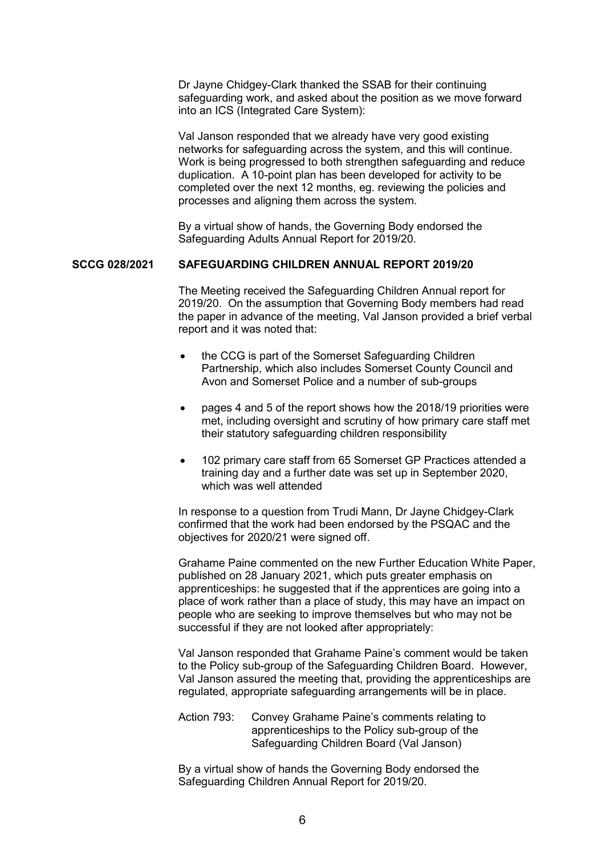Dr Jayne Chidgey-Clark thanked the SSAB for their continuing safeguarding work, and asked about the position as we move forward into an ICS (Integrated Care System):

 Val Janson responded that we already have very good existing networks for safeguarding across the system, and this will continue. Work is being progressed to both strengthen safeguarding and reduce duplication. A 10-point plan has been developed for activity to be completed over the next 12 months, eg. reviewing the policies and processes and aligning them across the system.

 By a virtual show of hands, the Governing Body endorsed the Safeguarding Adults Annual Report for 2019/20.

### **SCCG 028/2021 SAFEGUARDING CHILDREN ANNUAL REPORT 2019/20**

 The Meeting received the Safeguarding Children Annual report for 2019/20. On the assumption that Governing Body members had read the paper in advance of the meeting, Val Janson provided a brief verbal report and it was noted that:

- the CCG is part of the Somerset Safeguarding Children Partnership, which also includes Somerset County Council and Avon and Somerset Police and a number of sub-groups
- pages 4 and 5 of the report shows how the 2018/19 priorities were met, including oversight and scrutiny of how primary care staff met their statutory safeguarding children responsibility
- 102 primary care staff from 65 Somerset GP Practices attended a training day and a further date was set up in September 2020, which was well attended

 In response to a question from Trudi Mann, Dr Jayne Chidgey-Clark confirmed that the work had been endorsed by the PSQAC and the objectives for 2020/21 were signed off.

 Grahame Paine commented on the new Further Education White Paper, published on 28 January 2021, which puts greater emphasis on apprenticeships: he suggested that if the apprentices are going into a place of work rather than a place of study, this may have an impact on people who are seeking to improve themselves but who may not be successful if they are not looked after appropriately:

 Val Janson responded that Grahame Paine's comment would be taken to the Policy sub-group of the Safeguarding Children Board. However, Val Janson assured the meeting that, providing the apprenticeships are regulated, appropriate safeguarding arrangements will be in place.

 Action 793: Convey Grahame Paine's comments relating to apprenticeships to the Policy sub-group of the Safeguarding Children Board (Val Janson)

 By a virtual show of hands the Governing Body endorsed the Safeguarding Children Annual Report for 2019/20.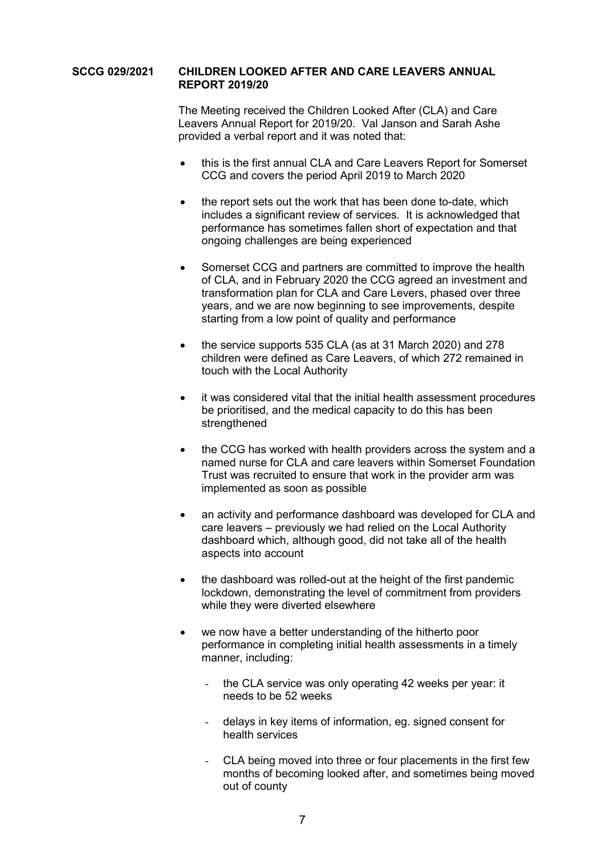### **SCCG 029/2021 CHILDREN LOOKED AFTER AND CARE LEAVERS ANNUAL REPORT 2019/20**

 The Meeting received the Children Looked After (CLA) and Care Leavers Annual Report for 2019/20. Val Janson and Sarah Ashe provided a verbal report and it was noted that:

- this is the first annual CLA and Care Leavers Report for Somerset CCG and covers the period April 2019 to March 2020
- the report sets out the work that has been done to-date, which includes a significant review of services. It is acknowledged that performance has sometimes fallen short of expectation and that ongoing challenges are being experienced
- Somerset CCG and partners are committed to improve the health of CLA, and in February 2020 the CCG agreed an investment and transformation plan for CLA and Care Levers, phased over three years, and we are now beginning to see improvements, despite starting from a low point of quality and performance
- the service supports 535 CLA (as at 31 March 2020) and 278 children were defined as Care Leavers, of which 272 remained in touch with the Local Authority
- it was considered vital that the initial health assessment procedures be prioritised, and the medical capacity to do this has been strengthened
- the CCG has worked with health providers across the system and a named nurse for CLA and care leavers within Somerset Foundation Trust was recruited to ensure that work in the provider arm was implemented as soon as possible
- an activity and performance dashboard was developed for CLA and care leavers – previously we had relied on the Local Authority dashboard which, although good, did not take all of the health aspects into account
- the dashboard was rolled-out at the height of the first pandemic lockdown, demonstrating the level of commitment from providers while they were diverted elsewhere
- we now have a better understanding of the hitherto poor performance in completing initial health assessments in a timely manner, including:
	- the CLA service was only operating 42 weeks per year: it needs to be 52 weeks
	- delays in key items of information, eg. signed consent for health services
	- CLA being moved into three or four placements in the first few months of becoming looked after, and sometimes being moved out of county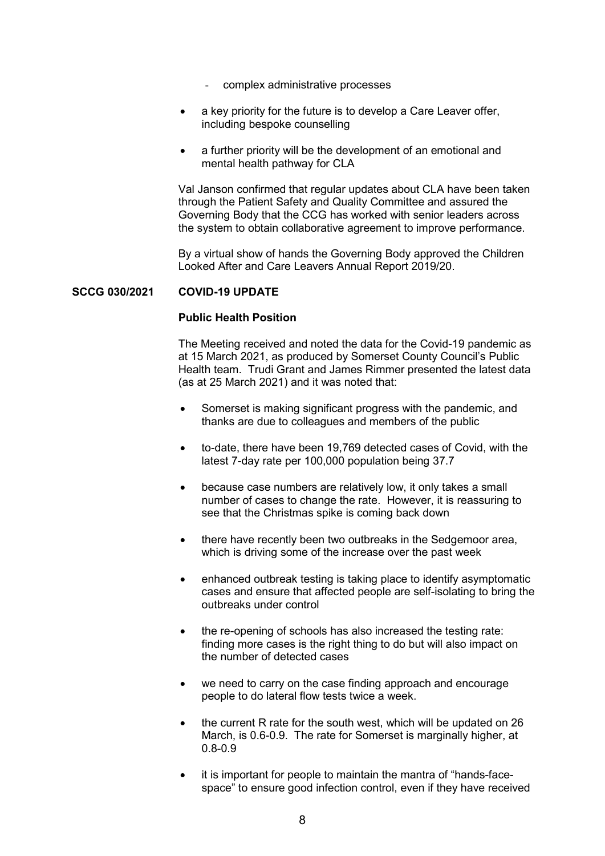- complex administrative processes
- a key priority for the future is to develop a Care Leaver offer, including bespoke counselling
- a further priority will be the development of an emotional and mental health pathway for CLA

 Val Janson confirmed that regular updates about CLA have been taken through the Patient Safety and Quality Committee and assured the Governing Body that the CCG has worked with senior leaders across the system to obtain collaborative agreement to improve performance.

 By a virtual show of hands the Governing Body approved the Children Looked After and Care Leavers Annual Report 2019/20.

#### **SCCG 030/2021 COVID-19 UPDATE**

### **Public Health Position**

 The Meeting received and noted the data for the Covid-19 pandemic as at 15 March 2021, as produced by Somerset County Council's Public Health team. Trudi Grant and James Rimmer presented the latest data (as at 25 March 2021) and it was noted that:

- Somerset is making significant progress with the pandemic, and thanks are due to colleagues and members of the public
- to-date, there have been 19,769 detected cases of Covid, with the latest 7-day rate per 100,000 population being 37.7
- because case numbers are relatively low, it only takes a small number of cases to change the rate. However, it is reassuring to see that the Christmas spike is coming back down
- there have recently been two outbreaks in the Sedgemoor area, which is driving some of the increase over the past week
- enhanced outbreak testing is taking place to identify asymptomatic cases and ensure that affected people are self-isolating to bring the outbreaks under control
- the re-opening of schools has also increased the testing rate: finding more cases is the right thing to do but will also impact on the number of detected cases
- we need to carry on the case finding approach and encourage people to do lateral flow tests twice a week.
- the current R rate for the south west, which will be updated on 26 March, is 0.6-0.9. The rate for Somerset is marginally higher, at 0.8-0.9
- it is important for people to maintain the mantra of "hands-facespace" to ensure good infection control, even if they have received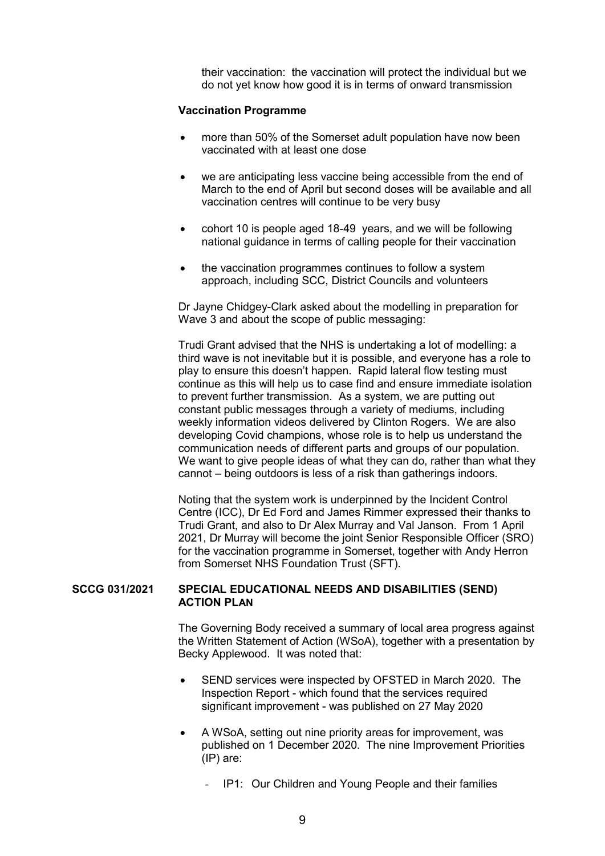their vaccination: the vaccination will protect the individual but we do not yet know how good it is in terms of onward transmission

#### **Vaccination Programme**

- more than 50% of the Somerset adult population have now been vaccinated with at least one dose
- we are anticipating less vaccine being accessible from the end of March to the end of April but second doses will be available and all vaccination centres will continue to be very busy
- cohort 10 is people aged 18-49 years, and we will be following national guidance in terms of calling people for their vaccination
- the vaccination programmes continues to follow a system approach, including SCC, District Councils and volunteers

 Dr Jayne Chidgey-Clark asked about the modelling in preparation for Wave 3 and about the scope of public messaging:

 Trudi Grant advised that the NHS is undertaking a lot of modelling: a third wave is not inevitable but it is possible, and everyone has a role to play to ensure this doesn't happen. Rapid lateral flow testing must continue as this will help us to case find and ensure immediate isolation to prevent further transmission. As a system, we are putting out constant public messages through a variety of mediums, including weekly information videos delivered by Clinton Rogers. We are also developing Covid champions, whose role is to help us understand the communication needs of different parts and groups of our population. We want to give people ideas of what they can do, rather than what they cannot – being outdoors is less of a risk than gatherings indoors.

 Noting that the system work is underpinned by the Incident Control Centre (ICC), Dr Ed Ford and James Rimmer expressed their thanks to Trudi Grant, and also to Dr Alex Murray and Val Janson. From 1 April 2021, Dr Murray will become the joint Senior Responsible Officer (SRO) for the vaccination programme in Somerset, together with Andy Herron from Somerset NHS Foundation Trust (SFT).

### **SCCG 031/2021 SPECIAL EDUCATIONAL NEEDS AND DISABILITIES (SEND) ACTION PLAN**

 The Governing Body received a summary of local area progress against the Written Statement of Action (WSoA), together with a presentation by Becky Applewood. It was noted that:

- SEND services were inspected by OFSTED in March 2020. The Inspection Report - which found that the services required significant improvement - was published on 27 May 2020
- A WSoA, setting out nine priority areas for improvement, was published on 1 December 2020. The nine Improvement Priorities (IP) are:
	- IP1: Our Children and Young People and their families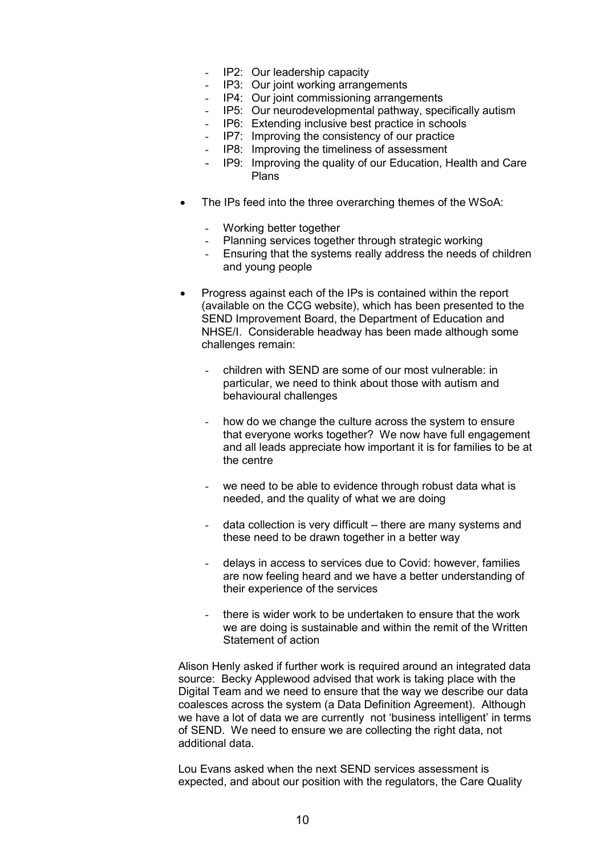- IP2: Our leadership capacity
- IP3: Our joint working arrangements
- IP4: Our joint commissioning arrangements
- IP5: Our neurodevelopmental pathway, specifically autism
- IP6: Extending inclusive best practice in schools
- IP7: Improving the consistency of our practice
- IP8: Improving the timeliness of assessment
- IP9: Improving the quality of our Education, Health and Care Plans
- The IPs feed into the three overarching themes of the WSoA:
	- Working better together
	- Planning services together through strategic working
	- Ensuring that the systems really address the needs of children and young people
- Progress against each of the IPs is contained within the report (available on the CCG website), which has been presented to the SEND Improvement Board, the Department of Education and NHSE/I. Considerable headway has been made although some challenges remain:
	- children with SEND are some of our most vulnerable: in particular, we need to think about those with autism and behavioural challenges
	- how do we change the culture across the system to ensure that everyone works together? We now have full engagement and all leads appreciate how important it is for families to be at the centre
	- we need to be able to evidence through robust data what is needed, and the quality of what we are doing
	- data collection is very difficult there are many systems and these need to be drawn together in a better way
	- delays in access to services due to Covid: however, families are now feeling heard and we have a better understanding of their experience of the services
	- there is wider work to be undertaken to ensure that the work we are doing is sustainable and within the remit of the Written Statement of action

 Alison Henly asked if further work is required around an integrated data source: Becky Applewood advised that work is taking place with the Digital Team and we need to ensure that the way we describe our data coalesces across the system (a Data Definition Agreement). Although we have a lot of data we are currently not 'business intelligent' in terms of SEND. We need to ensure we are collecting the right data, not additional data.

 Lou Evans asked when the next SEND services assessment is expected, and about our position with the regulators, the Care Quality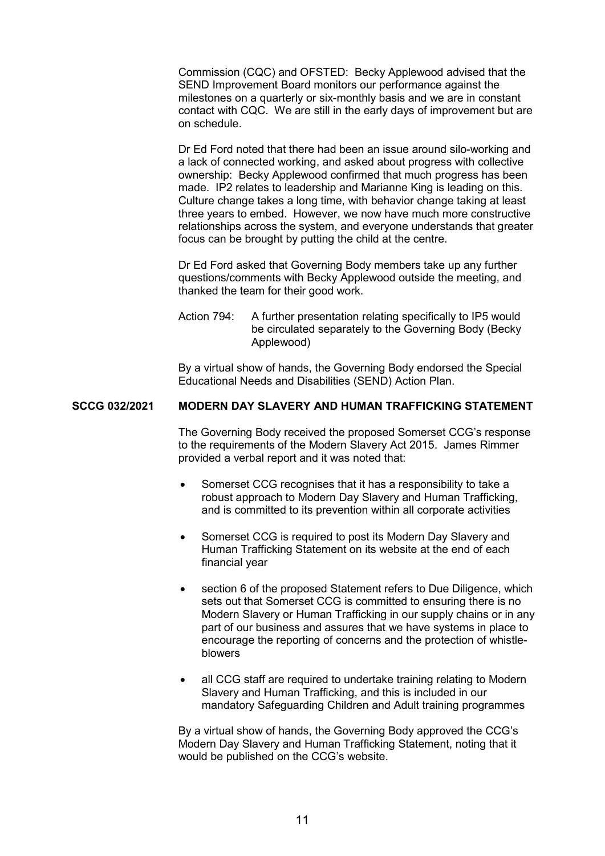Commission (CQC) and OFSTED: Becky Applewood advised that the SEND Improvement Board monitors our performance against the milestones on a quarterly or six-monthly basis and we are in constant contact with CQC. We are still in the early days of improvement but are on schedule.

 Dr Ed Ford noted that there had been an issue around silo-working and a lack of connected working, and asked about progress with collective ownership: Becky Applewood confirmed that much progress has been made. IP2 relates to leadership and Marianne King is leading on this. Culture change takes a long time, with behavior change taking at least three years to embed. However, we now have much more constructive relationships across the system, and everyone understands that greater focus can be brought by putting the child at the centre.

 Dr Ed Ford asked that Governing Body members take up any further questions/comments with Becky Applewood outside the meeting, and thanked the team for their good work.

Action 794: A further presentation relating specifically to IP5 would be circulated separately to the Governing Body (Becky Applewood)

 By a virtual show of hands, the Governing Body endorsed the Special Educational Needs and Disabilities (SEND) Action Plan.

## **SCCG 032/2021 MODERN DAY SLAVERY AND HUMAN TRAFFICKING STATEMENT**

 The Governing Body received the proposed Somerset CCG's response to the requirements of the Modern Slavery Act 2015. James Rimmer provided a verbal report and it was noted that:

- Somerset CCG recognises that it has a responsibility to take a robust approach to Modern Day Slavery and Human Trafficking, and is committed to its prevention within all corporate activities
- Somerset CCG is required to post its Modern Day Slavery and Human Trafficking Statement on its website at the end of each financial year
- section 6 of the proposed Statement refers to Due Diligence, which sets out that Somerset CCG is committed to ensuring there is no Modern Slavery or Human Trafficking in our supply chains or in any part of our business and assures that we have systems in place to encourage the reporting of concerns and the protection of whistleblowers
- all CCG staff are required to undertake training relating to Modern Slavery and Human Trafficking, and this is included in our mandatory Safeguarding Children and Adult training programmes

 By a virtual show of hands, the Governing Body approved the CCG's Modern Day Slavery and Human Trafficking Statement, noting that it would be published on the CCG's website.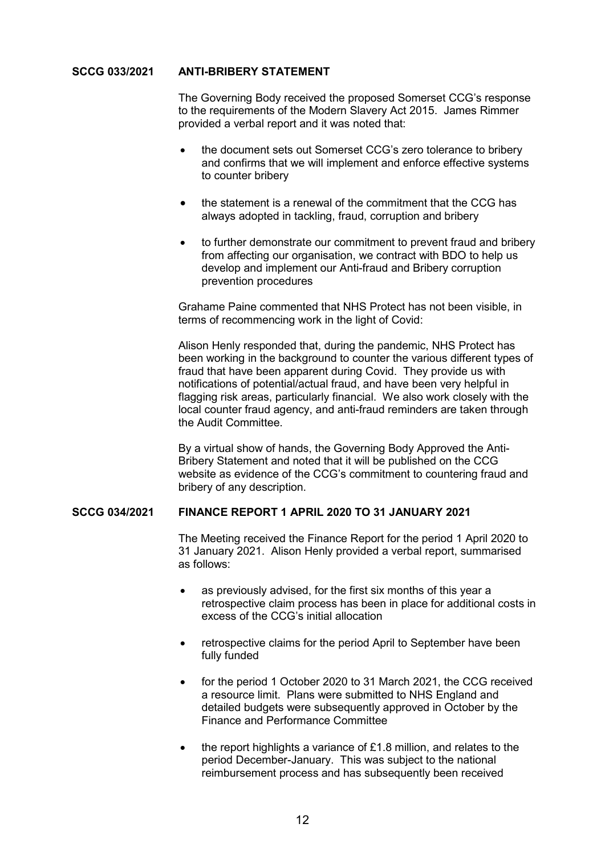### **SCCG 033/2021 ANTI-BRIBERY STATEMENT**

 The Governing Body received the proposed Somerset CCG's response to the requirements of the Modern Slavery Act 2015. James Rimmer provided a verbal report and it was noted that:

- the document sets out Somerset CCG's zero tolerance to bribery and confirms that we will implement and enforce effective systems to counter bribery
- the statement is a renewal of the commitment that the CCG has always adopted in tackling, fraud, corruption and bribery
- to further demonstrate our commitment to prevent fraud and bribery from affecting our organisation, we contract with BDO to help us develop and implement our Anti-fraud and Bribery corruption prevention procedures

 Grahame Paine commented that NHS Protect has not been visible, in terms of recommencing work in the light of Covid:

 Alison Henly responded that, during the pandemic, NHS Protect has been working in the background to counter the various different types of fraud that have been apparent during Covid. They provide us with notifications of potential/actual fraud, and have been very helpful in flagging risk areas, particularly financial. We also work closely with the local counter fraud agency, and anti-fraud reminders are taken through the Audit Committee.

 By a virtual show of hands, the Governing Body Approved the Anti-Bribery Statement and noted that it will be published on the CCG website as evidence of the CCG's commitment to countering fraud and bribery of any description.

### **SCCG 034/2021 FINANCE REPORT 1 APRIL 2020 TO 31 JANUARY 2021**

 The Meeting received the Finance Report for the period 1 April 2020 to 31 January 2021. Alison Henly provided a verbal report, summarised as follows:

- as previously advised, for the first six months of this year a retrospective claim process has been in place for additional costs in excess of the CCG's initial allocation
- retrospective claims for the period April to September have been fully funded
- for the period 1 October 2020 to 31 March 2021, the CCG received a resource limit. Plans were submitted to NHS England and detailed budgets were subsequently approved in October by the Finance and Performance Committee
- the report highlights a variance of £1.8 million, and relates to the period December-January. This was subject to the national reimbursement process and has subsequently been received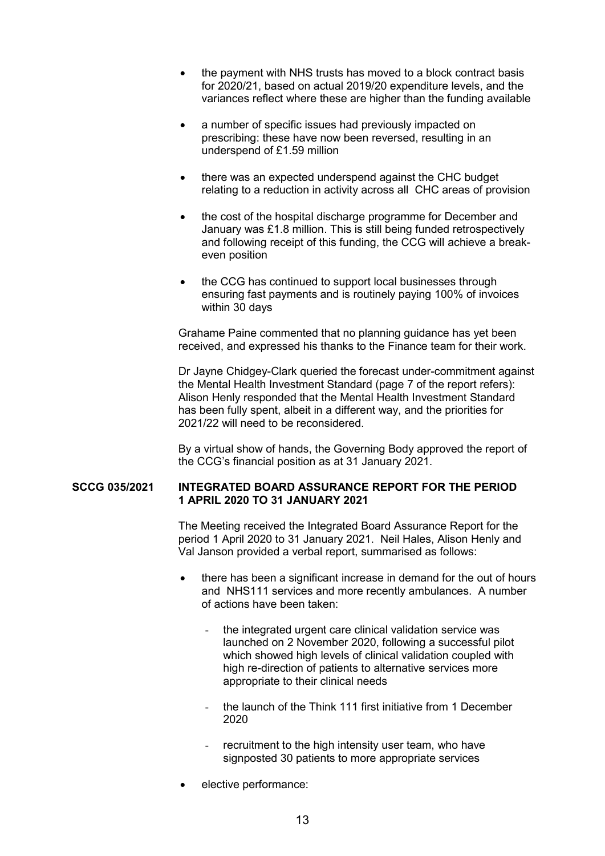- the payment with NHS trusts has moved to a block contract basis for 2020/21, based on actual 2019/20 expenditure levels, and the variances reflect where these are higher than the funding available
- a number of specific issues had previously impacted on prescribing: these have now been reversed, resulting in an underspend of £1.59 million
- there was an expected underspend against the CHC budget relating to a reduction in activity across all CHC areas of provision
- the cost of the hospital discharge programme for December and January was £1.8 million. This is still being funded retrospectively and following receipt of this funding, the CCG will achieve a breakeven position
- the CCG has continued to support local businesses through ensuring fast payments and is routinely paying 100% of invoices within 30 days

 Grahame Paine commented that no planning guidance has yet been received, and expressed his thanks to the Finance team for their work.

 Dr Jayne Chidgey-Clark queried the forecast under-commitment against the Mental Health Investment Standard (page 7 of the report refers): Alison Henly responded that the Mental Health Investment Standard has been fully spent, albeit in a different way, and the priorities for 2021/22 will need to be reconsidered.

 By a virtual show of hands, the Governing Body approved the report of the CCG's financial position as at 31 January 2021.

### **SCCG 035/2021 INTEGRATED BOARD ASSURANCE REPORT FOR THE PERIOD 1 APRIL 2020 TO 31 JANUARY 2021**

 The Meeting received the Integrated Board Assurance Report for the period 1 April 2020 to 31 January 2021. Neil Hales, Alison Henly and Val Janson provided a verbal report, summarised as follows:

- there has been a significant increase in demand for the out of hours and NHS111 services and more recently ambulances. A number of actions have been taken:
	- the integrated urgent care clinical validation service was launched on 2 November 2020, following a successful pilot which showed high levels of clinical validation coupled with high re-direction of patients to alternative services more appropriate to their clinical needs
	- the launch of the Think 111 first initiative from 1 December 2020
	- recruitment to the high intensity user team, who have signposted 30 patients to more appropriate services
- elective performance: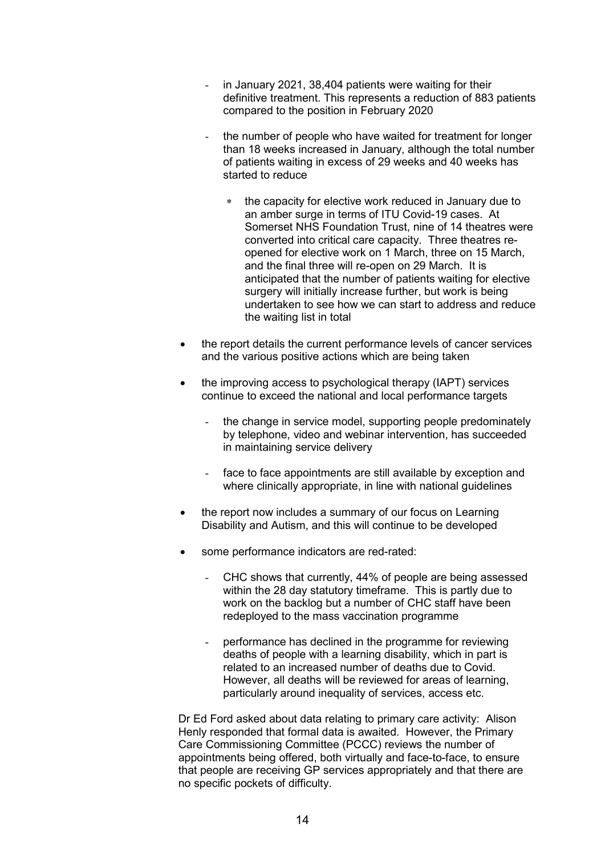- in January 2021, 38,404 patients were waiting for their definitive treatment. This represents a reduction of 883 patients compared to the position in February 2020
- the number of people who have waited for treatment for longer than 18 weeks increased in January, although the total number of patients waiting in excess of 29 weeks and 40 weeks has started to reduce
	- the capacity for elective work reduced in January due to an amber surge in terms of ITU Covid-19 cases. At Somerset NHS Foundation Trust, nine of 14 theatres were converted into critical care capacity. Three theatres reopened for elective work on 1 March, three on 15 March, and the final three will re-open on 29 March. It is anticipated that the number of patients waiting for elective surgery will initially increase further, but work is being undertaken to see how we can start to address and reduce the waiting list in total
- the report details the current performance levels of cancer services and the various positive actions which are being taken
- the improving access to psychological therapy (IAPT) services continue to exceed the national and local performance targets
	- the change in service model, supporting people predominately by telephone, video and webinar intervention, has succeeded in maintaining service delivery
	- face to face appointments are still available by exception and where clinically appropriate, in line with national guidelines
- the report now includes a summary of our focus on Learning Disability and Autism, and this will continue to be developed
- some performance indicators are red-rated:
	- CHC shows that currently, 44% of people are being assessed within the 28 day statutory timeframe. This is partly due to work on the backlog but a number of CHC staff have been redeployed to the mass vaccination programme
	- performance has declined in the programme for reviewing deaths of people with a learning disability, which in part is related to an increased number of deaths due to Covid. However, all deaths will be reviewed for areas of learning, particularly around inequality of services, access etc.

 Dr Ed Ford asked about data relating to primary care activity: Alison Henly responded that formal data is awaited. However, the Primary Care Commissioning Committee (PCCC) reviews the number of appointments being offered, both virtually and face-to-face, to ensure that people are receiving GP services appropriately and that there are no specific pockets of difficulty.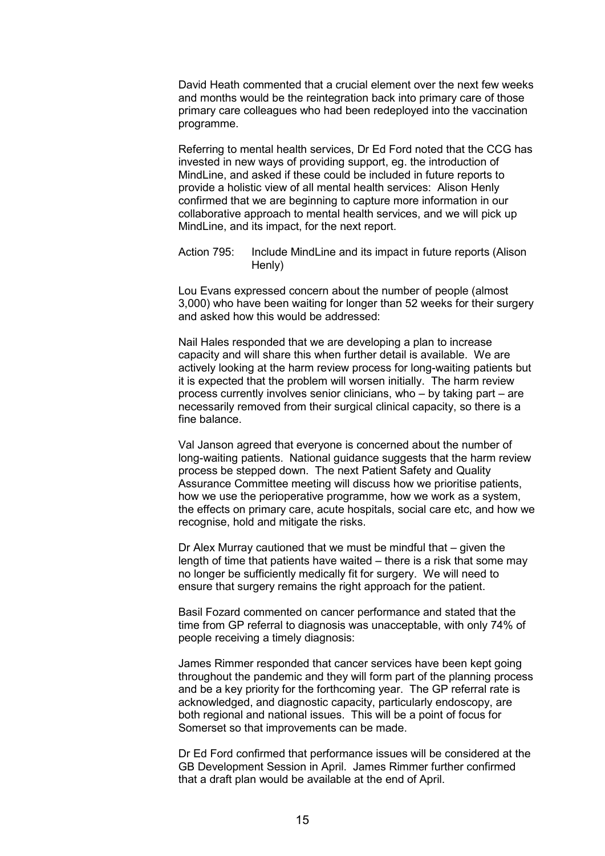David Heath commented that a crucial element over the next few weeks and months would be the reintegration back into primary care of those primary care colleagues who had been redeployed into the vaccination programme.

 Referring to mental health services, Dr Ed Ford noted that the CCG has invested in new ways of providing support, eg. the introduction of MindLine, and asked if these could be included in future reports to provide a holistic view of all mental health services: Alison Henly confirmed that we are beginning to capture more information in our collaborative approach to mental health services, and we will pick up MindLine, and its impact, for the next report.

 Action 795: Include MindLine and its impact in future reports (Alison Henly)

 Lou Evans expressed concern about the number of people (almost 3,000) who have been waiting for longer than 52 weeks for their surgery and asked how this would be addressed:

 Nail Hales responded that we are developing a plan to increase capacity and will share this when further detail is available. We are actively looking at the harm review process for long-waiting patients but it is expected that the problem will worsen initially. The harm review process currently involves senior clinicians, who – by taking part – are necessarily removed from their surgical clinical capacity, so there is a fine balance.

 Val Janson agreed that everyone is concerned about the number of long-waiting patients. National guidance suggests that the harm review process be stepped down. The next Patient Safety and Quality Assurance Committee meeting will discuss how we prioritise patients, how we use the perioperative programme, how we work as a system, the effects on primary care, acute hospitals, social care etc, and how we recognise, hold and mitigate the risks.

 Dr Alex Murray cautioned that we must be mindful that – given the length of time that patients have waited – there is a risk that some may no longer be sufficiently medically fit for surgery. We will need to ensure that surgery remains the right approach for the patient.

 Basil Fozard commented on cancer performance and stated that the time from GP referral to diagnosis was unacceptable, with only 74% of people receiving a timely diagnosis:

 James Rimmer responded that cancer services have been kept going throughout the pandemic and they will form part of the planning process and be a key priority for the forthcoming year. The GP referral rate is acknowledged, and diagnostic capacity, particularly endoscopy, are both regional and national issues. This will be a point of focus for Somerset so that improvements can be made.

 Dr Ed Ford confirmed that performance issues will be considered at the GB Development Session in April. James Rimmer further confirmed that a draft plan would be available at the end of April.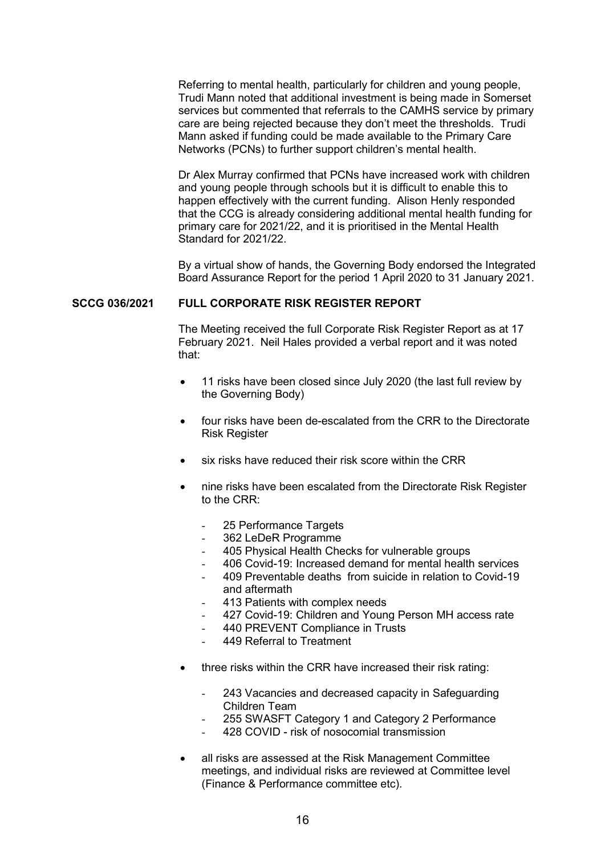Referring to mental health, particularly for children and young people, Trudi Mann noted that additional investment is being made in Somerset services but commented that referrals to the CAMHS service by primary care are being rejected because they don't meet the thresholds. Trudi Mann asked if funding could be made available to the Primary Care Networks (PCNs) to further support children's mental health.

 Dr Alex Murray confirmed that PCNs have increased work with children and young people through schools but it is difficult to enable this to happen effectively with the current funding. Alison Henly responded that the CCG is already considering additional mental health funding for primary care for 2021/22, and it is prioritised in the Mental Health Standard for 2021/22.

 By a virtual show of hands, the Governing Body endorsed the Integrated Board Assurance Report for the period 1 April 2020 to 31 January 2021.

#### **SCCG 036/2021 FULL CORPORATE RISK REGISTER REPORT**

 The Meeting received the full Corporate Risk Register Report as at 17 February 2021. Neil Hales provided a verbal report and it was noted that:

- 11 risks have been closed since July 2020 (the last full review by the Governing Body)
- four risks have been de-escalated from the CRR to the Directorate Risk Register
- six risks have reduced their risk score within the CRR
- nine risks have been escalated from the Directorate Risk Register to the CRR:
	- 25 Performance Targets
	- 362 LeDeR Programme
	- 405 Physical Health Checks for vulnerable groups
	- 406 Covid-19: Increased demand for mental health services
	- 409 Preventable deaths from suicide in relation to Covid-19 and aftermath
	- 413 Patients with complex needs
	- 427 Covid-19: Children and Young Person MH access rate
	- 440 PREVENT Compliance in Trusts
	- 449 Referral to Treatment
- three risks within the CRR have increased their risk rating:
	- 243 Vacancies and decreased capacity in Safeguarding Children Team
	- 255 SWASFT Category 1 and Category 2 Performance
	- 428 COVID risk of nosocomial transmission
- all risks are assessed at the Risk Management Committee meetings, and individual risks are reviewed at Committee level (Finance & Performance committee etc).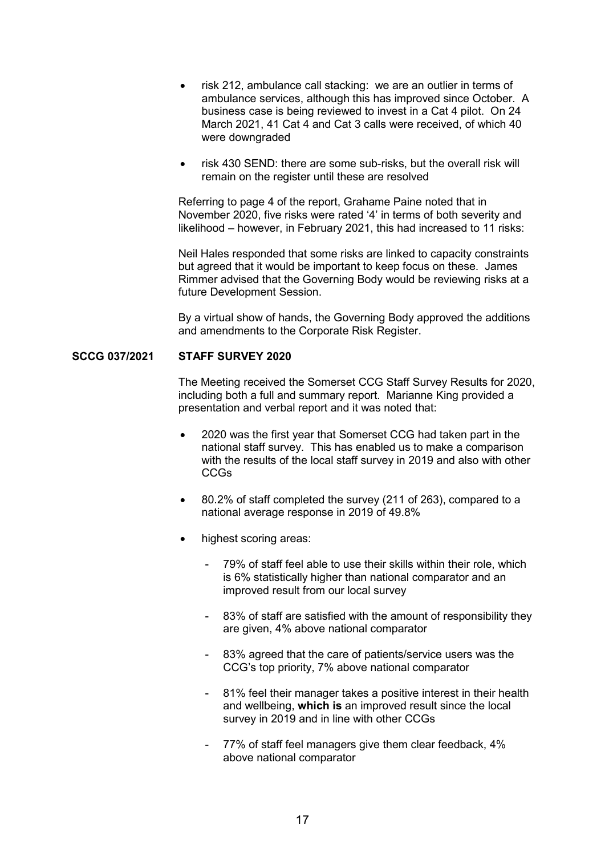- risk 212, ambulance call stacking: we are an outlier in terms of ambulance services, although this has improved since October. A business case is being reviewed to invest in a Cat 4 pilot. On 24 March 2021, 41 Cat 4 and Cat 3 calls were received, of which 40 were downgraded
- risk 430 SEND: there are some sub-risks, but the overall risk will remain on the register until these are resolved

 Referring to page 4 of the report, Grahame Paine noted that in November 2020, five risks were rated '4' in terms of both severity and likelihood – however, in February 2021, this had increased to 11 risks:

 Neil Hales responded that some risks are linked to capacity constraints but agreed that it would be important to keep focus on these. James Rimmer advised that the Governing Body would be reviewing risks at a future Development Session.

 By a virtual show of hands, the Governing Body approved the additions and amendments to the Corporate Risk Register.

#### **SCCG 037/2021 STAFF SURVEY 2020**

 The Meeting received the Somerset CCG Staff Survey Results for 2020, including both a full and summary report. Marianne King provided a presentation and verbal report and it was noted that:

- 2020 was the first year that Somerset CCG had taken part in the national staff survey. This has enabled us to make a comparison with the results of the local staff survey in 2019 and also with other CCGs
- 80.2% of staff completed the survey (211 of 263), compared to a national average response in 2019 of 49.8%
- highest scoring areas:
	- 79% of staff feel able to use their skills within their role, which is 6% statistically higher than national comparator and an improved result from our local survey
	- 83% of staff are satisfied with the amount of responsibility they are given, 4% above national comparator
	- 83% agreed that the care of patients/service users was the CCG's top priority, 7% above national comparator
	- 81% feel their manager takes a positive interest in their health and wellbeing, **which is** an improved result since the local survey in 2019 and in line with other CCGs
	- 77% of staff feel managers give them clear feedback, 4% above national comparator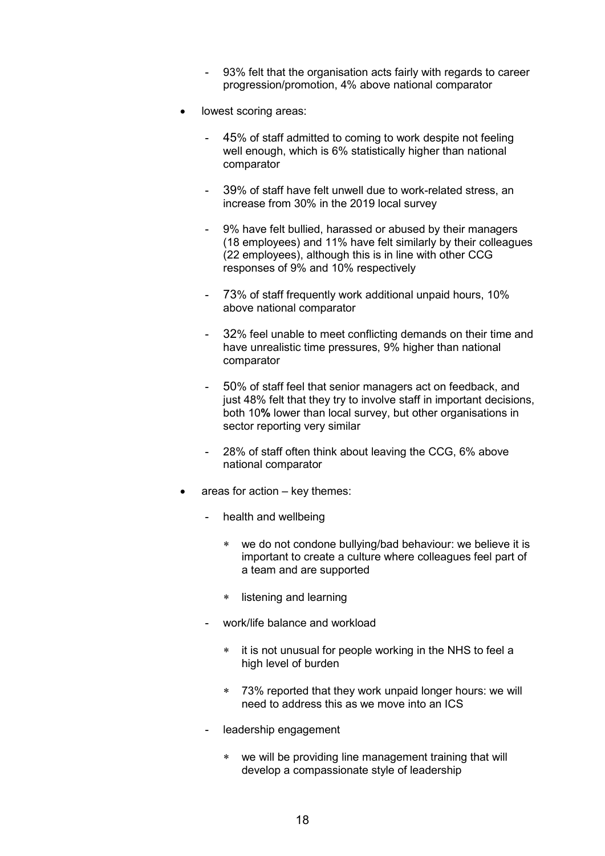- 93% felt that the organisation acts fairly with regards to career progression/promotion, 4% above national comparator
- lowest scoring areas:
	- 45% of staff admitted to coming to work despite not feeling well enough, which is 6% statistically higher than national comparator
	- 39% of staff have felt unwell due to work-related stress, an increase from 30% in the 2019 local survey
	- 9% have felt bullied, harassed or abused by their managers (18 employees) and 11% have felt similarly by their colleagues (22 employees), although this is in line with other CCG responses of 9% and 10% respectively
	- 73% of staff frequently work additional unpaid hours, 10% above national comparator
	- 32% feel unable to meet conflicting demands on their time and have unrealistic time pressures, 9% higher than national comparator
	- 50% of staff feel that senior managers act on feedback, and just 48% felt that they try to involve staff in important decisions, both 10**%** lower than local survey, but other organisations in sector reporting very similar
	- 28% of staff often think about leaving the CCG, 6% above national comparator
- areas for action key themes:
	- health and wellbeing
		- we do not condone bullying/bad behaviour: we believe it is important to create a culture where colleagues feel part of a team and are supported
		- listening and learning
	- work/life balance and workload
		- it is not unusual for people working in the NHS to feel a high level of burden
		- 73% reported that they work unpaid longer hours: we will need to address this as we move into an ICS
	- leadership engagement
		- we will be providing line management training that will develop a compassionate style of leadership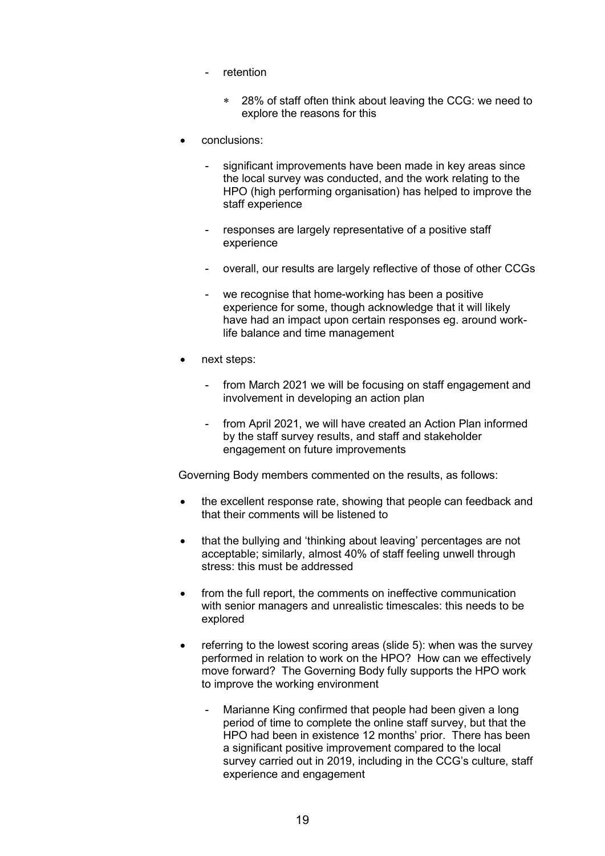- retention
	- 28% of staff often think about leaving the CCG: we need to explore the reasons for this
- conclusions:
	- significant improvements have been made in key areas since the local survey was conducted, and the work relating to the HPO (high performing organisation) has helped to improve the staff experience
	- responses are largely representative of a positive staff experience
	- overall, our results are largely reflective of those of other CCGs
	- we recognise that home-working has been a positive experience for some, though acknowledge that it will likely have had an impact upon certain responses eg. around worklife balance and time management
- next steps:
	- from March 2021 we will be focusing on staff engagement and involvement in developing an action plan
	- from April 2021, we will have created an Action Plan informed by the staff survey results, and staff and stakeholder engagement on future improvements

Governing Body members commented on the results, as follows:

- the excellent response rate, showing that people can feedback and that their comments will be listened to
- that the bullying and 'thinking about leaving' percentages are not acceptable; similarly, almost 40% of staff feeling unwell through stress: this must be addressed
- from the full report, the comments on ineffective communication with senior managers and unrealistic timescales: this needs to be explored
- $\bullet$  referring to the lowest scoring areas (slide 5): when was the survey performed in relation to work on the HPO? How can we effectively move forward? The Governing Body fully supports the HPO work to improve the working environment
	- Marianne King confirmed that people had been given a long period of time to complete the online staff survey, but that the HPO had been in existence 12 months' prior. There has been a significant positive improvement compared to the local survey carried out in 2019, including in the CCG's culture, staff experience and engagement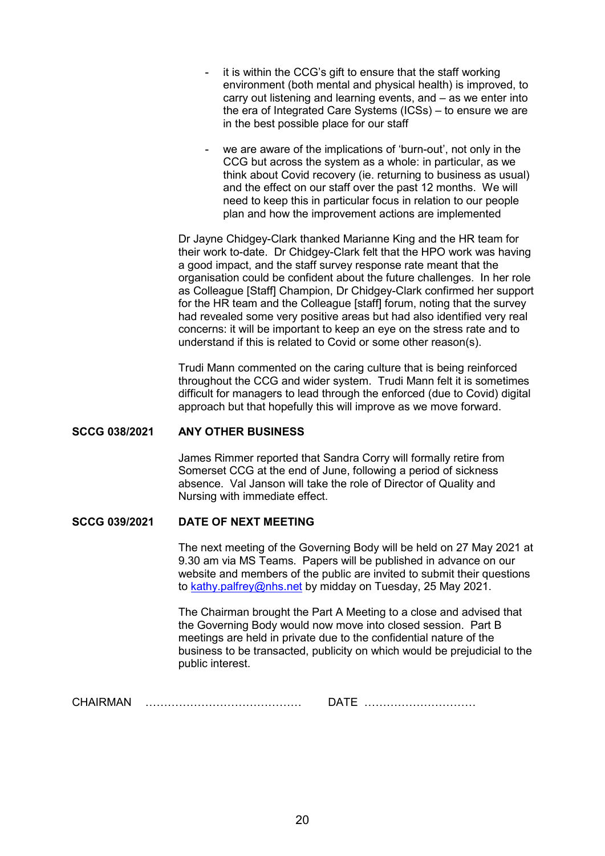- it is within the CCG's gift to ensure that the staff working environment (both mental and physical health) is improved, to carry out listening and learning events, and – as we enter into the era of Integrated Care Systems (ICSs) – to ensure we are in the best possible place for our staff
- we are aware of the implications of 'burn-out', not only in the CCG but across the system as a whole: in particular, as we think about Covid recovery (ie. returning to business as usual) and the effect on our staff over the past 12 months. We will need to keep this in particular focus in relation to our people plan and how the improvement actions are implemented

 Dr Jayne Chidgey-Clark thanked Marianne King and the HR team for their work to-date. Dr Chidgey-Clark felt that the HPO work was having a good impact, and the staff survey response rate meant that the organisation could be confident about the future challenges. In her role as Colleague [Staff] Champion, Dr Chidgey-Clark confirmed her support for the HR team and the Colleague [staff] forum, noting that the survey had revealed some very positive areas but had also identified very real concerns: it will be important to keep an eye on the stress rate and to understand if this is related to Covid or some other reason(s).

 Trudi Mann commented on the caring culture that is being reinforced throughout the CCG and wider system. Trudi Mann felt it is sometimes difficult for managers to lead through the enforced (due to Covid) digital approach but that hopefully this will improve as we move forward.

#### **SCCG 038/2021 ANY OTHER BUSINESS**

 James Rimmer reported that Sandra Corry will formally retire from Somerset CCG at the end of June, following a period of sickness absence. Val Janson will take the role of Director of Quality and Nursing with immediate effect.

### **SCCG 039/2021 DATE OF NEXT MEETING**

 The next meeting of the Governing Body will be held on 27 May 2021 at 9.30 am via MS Teams. Papers will be published in advance on our website and members of the public are invited to submit their questions to kathy.palfrey@nhs.net by midday on Tuesday, 25 May 2021.

 The Chairman brought the Part A Meeting to a close and advised that the Governing Body would now move into closed session. Part B meetings are held in private due to the confidential nature of the business to be transacted, publicity on which would be prejudicial to the public interest.

CHAIRMAN …………………………………… DATE …………………………